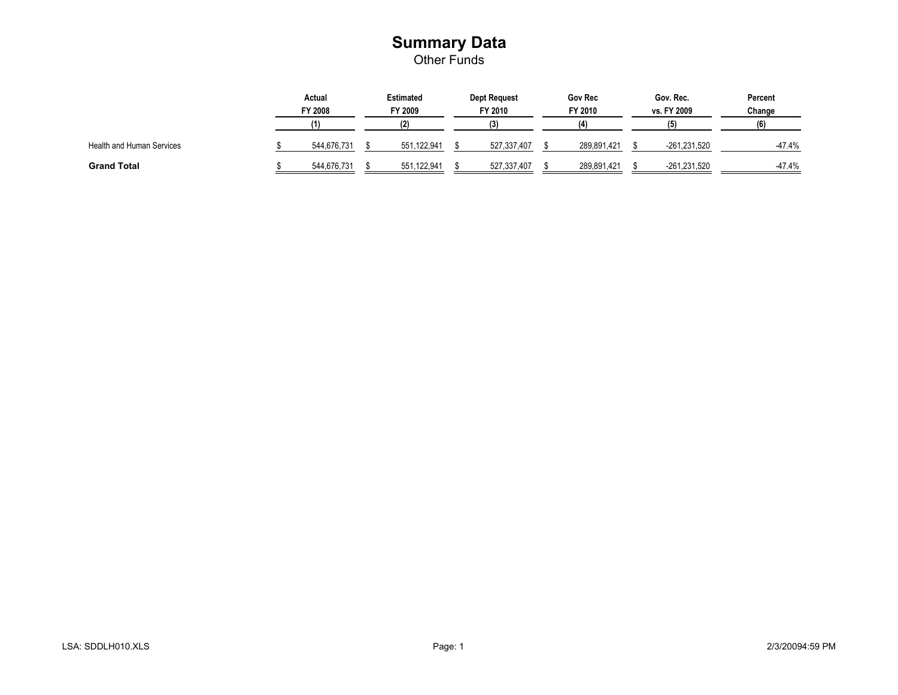#### **Summary Data** Other Funds

|                                  | Actual<br>FY 2008 | <b>Estimated</b><br>FY 2009 | <b>Dept Request</b><br>FY 2010 | <b>Gov Rec</b><br>FY 2010 | Gov. Rec.<br>vs. FY 2009 | Percent<br>Change |
|----------------------------------|-------------------|-----------------------------|--------------------------------|---------------------------|--------------------------|-------------------|
|                                  |                   |                             |                                | ίΔ١                       |                          | (6)               |
| <b>Health and Human Services</b> | 544.676.731       | 551,122,941                 | 527,337,407                    | 289,891,421               | -261,231,520             | $-47.4%$          |
| <b>Grand Total</b>               | 544.676.731       | 551,122,941                 | 527,337,407                    | 289,891,421               | -261,231,520             | $-47.4%$          |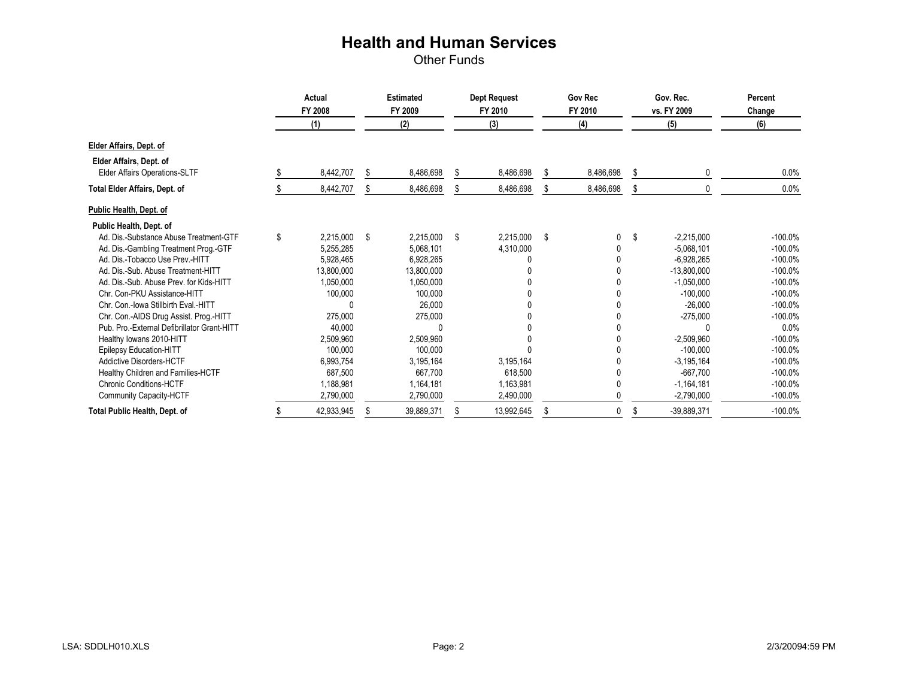|                                             | Actual<br>FY 2008 |            | <b>Estimated</b><br>FY 2009 |            | <b>Dept Request</b><br>FY 2010 |            | <b>Gov Rec</b><br>FY 2010 |           | Gov. Rec.<br>vs. FY 2009 |               | Percent<br>Change |
|---------------------------------------------|-------------------|------------|-----------------------------|------------|--------------------------------|------------|---------------------------|-----------|--------------------------|---------------|-------------------|
|                                             |                   | (1)        |                             | (2)        |                                | (3)        |                           | (4)       |                          | (5)           | (6)               |
| Elder Affairs, Dept. of                     |                   |            |                             |            |                                |            |                           |           |                          |               |                   |
| Elder Affairs, Dept. of                     |                   |            |                             |            |                                |            |                           |           |                          |               |                   |
| <b>Elder Affairs Operations-SLTF</b>        |                   | 8,442,707  | S                           | 8,486,698  | S.                             | 8,486,698  | \$                        | 8,486,698 | \$                       |               | 0.0%              |
| <b>Total Elder Affairs, Dept. of</b>        |                   | 8,442,707  |                             | 8,486,698  |                                | 8,486,698  |                           | 8,486,698 | \$                       |               | 0.0%              |
| Public Health, Dept. of                     |                   |            |                             |            |                                |            |                           |           |                          |               |                   |
| Public Health, Dept. of                     |                   |            |                             |            |                                |            |                           |           |                          |               |                   |
| Ad. Dis.-Substance Abuse Treatment-GTF      | \$                | 2,215,000  | \$                          | 2,215,000  | - \$                           | 2,215,000  | \$                        | 0         | \$                       | $-2.215.000$  | $-100.0%$         |
| Ad. Dis.-Gambling Treatment Prog.-GTF       |                   | 5,255,285  |                             | 5,068,101  |                                | 4,310,000  |                           | 0         |                          | $-5.068.101$  | $-100.0%$         |
| Ad. Dis.-Tobacco Use Prev.-HITT             |                   | 5,928,465  |                             | 6,928,265  |                                |            |                           |           |                          | $-6,928,265$  | $-100.0%$         |
| Ad. Dis.-Sub. Abuse Treatment-HITT          |                   | 13,800,000 |                             | 13,800,000 |                                |            |                           |           |                          | $-13,800,000$ | $-100.0%$         |
| Ad. Dis.-Sub. Abuse Prev. for Kids-HITT     |                   | 1,050,000  |                             | 1,050,000  |                                |            |                           |           |                          | $-1,050,000$  | $-100.0%$         |
| Chr. Con-PKU Assistance-HITT                |                   | 100,000    |                             | 100,000    |                                |            |                           |           |                          | $-100,000$    | $-100.0%$         |
| Chr. Con.-Iowa Stillbirth Eval.-HITT        |                   |            |                             | 26.000     |                                |            |                           |           |                          | $-26,000$     | $-100.0%$         |
| Chr. Con.-AIDS Drug Assist. Prog.-HITT      |                   | 275.000    |                             | 275,000    |                                |            |                           |           |                          | $-275,000$    | $-100.0%$         |
| Pub. Pro.-External Defibrillator Grant-HITT |                   | 40,000     |                             |            |                                |            |                           |           |                          |               | 0.0%              |
| Healthy Iowans 2010-HITT                    |                   | 2,509,960  |                             | 2,509,960  |                                |            |                           |           |                          | $-2,509,960$  | $-100.0%$         |
| Epilepsy Education-HITT                     |                   | 100.000    |                             | 100,000    |                                |            |                           |           |                          | $-100.000$    | $-100.0%$         |
| Addictive Disorders-HCTF                    |                   | 6,993,754  |                             | 3,195,164  |                                | 3,195,164  |                           |           |                          | $-3,195,164$  | $-100.0%$         |
| Healthy Children and Families-HCTF          |                   | 687.500    |                             | 667.700    |                                | 618,500    |                           |           |                          | $-667.700$    | $-100.0%$         |
| <b>Chronic Conditions-HCTF</b>              |                   | 1,188,981  |                             | 1,164,181  |                                | 1,163,981  |                           |           |                          | $-1,164,181$  | $-100.0%$         |
| Community Capacity-HCTF                     |                   | 2,790,000  |                             | 2,790,000  |                                | 2,490,000  |                           |           |                          | $-2,790,000$  | $-100.0%$         |
| Total Public Health, Dept. of               |                   | 42,933,945 |                             | 39,889,371 |                                | 13,992,645 |                           | $\Omega$  | \$                       | $-39,889,371$ | $-100.0%$         |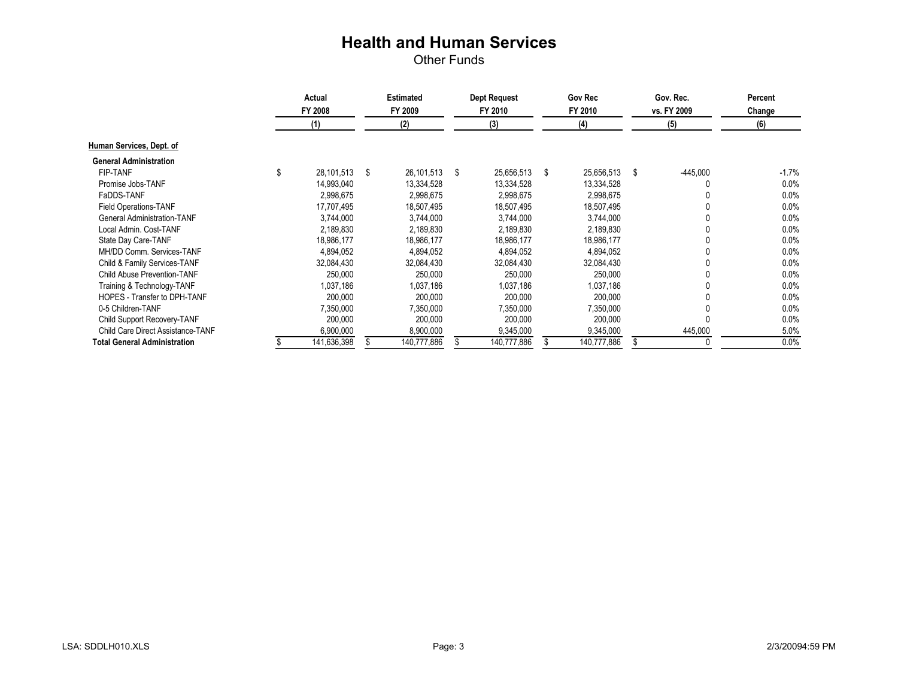|                                     | Actual<br>FY 2008 |             | <b>Estimated</b><br>FY 2009 |   | <b>Dept Request</b><br>FY 2010 | Gov Rec<br>FY 2010 |             |    | Gov. Rec.<br>vs. FY 2009 | Percent<br>Change |
|-------------------------------------|-------------------|-------------|-----------------------------|---|--------------------------------|--------------------|-------------|----|--------------------------|-------------------|
|                                     |                   | (1)         | (2)                         |   | (3)                            |                    | (4)         |    | (5)                      | (6)               |
| Human Services, Dept. of            |                   |             |                             |   |                                |                    |             |    |                          |                   |
| <b>General Administration</b>       |                   |             |                             |   |                                |                    |             |    |                          |                   |
| <b>FIP-TANF</b>                     | \$                | 28,101,513  | \$<br>26,101,513            | S | 25,656,513                     | \$                 | 25,656,513  | \$ | $-445,000$               | -1.7%             |
| Promise Jobs-TANF                   |                   | 14,993,040  | 13,334,528                  |   | 13,334,528                     |                    | 13,334,528  |    |                          | 0.0%              |
| FaDDS-TANF                          |                   | 2.998.675   | 2,998,675                   |   | 2,998,675                      |                    | 2.998.675   |    |                          | 0.0%              |
| <b>Field Operations-TANF</b>        |                   | 17,707,495  | 18,507,495                  |   | 18,507,495                     |                    | 18,507,495  |    |                          | 0.0%              |
| <b>General Administration-TANF</b>  |                   | 3.744.000   | 3,744,000                   |   | 3,744,000                      |                    | 3,744,000   |    |                          | 0.0%              |
| Local Admin, Cost-TANF              |                   | 2,189,830   | 2,189,830                   |   | 2,189,830                      |                    | 2,189,830   |    |                          | 0.0%              |
| State Day Care-TANF                 |                   | 18,986,177  | 18,986,177                  |   | 18,986,177                     |                    | 18,986,177  |    |                          | 0.0%              |
| MH/DD Comm. Services-TANF           |                   | 4,894,052   | 4,894,052                   |   | 4,894,052                      |                    | 4,894,052   |    |                          | 0.0%              |
| Child & Family Services-TANF        |                   | 32,084,430  | 32,084,430                  |   | 32,084,430                     |                    | 32,084,430  |    |                          | 0.0%              |
| <b>Child Abuse Prevention-TANF</b>  |                   | 250.000     | 250,000                     |   | 250,000                        |                    | 250,000     |    |                          | 0.0%              |
| Training & Technology-TANF          |                   | 1,037,186   | 1,037,186                   |   | 1,037,186                      |                    | 1,037,186   |    |                          | 0.0%              |
| HOPES - Transfer to DPH-TANF        |                   | 200,000     | 200,000                     |   | 200,000                        |                    | 200,000     |    |                          | $0.0\%$           |
| 0-5 Children-TANF                   |                   | 7,350,000   | 7,350,000                   |   | 7,350,000                      |                    | 7,350,000   |    |                          | 0.0%              |
| Child Support Recovery-TANF         |                   | 200,000     | 200,000                     |   | 200,000                        |                    | 200,000     |    |                          | 0.0%              |
| Child Care Direct Assistance-TANF   |                   | 6,900,000   | 8,900,000                   |   | 9,345,000                      |                    | 9,345,000   |    | 445,000                  | 5.0%              |
| <b>Total General Administration</b> |                   | 141,636,398 | 140,777,886                 |   | 140,777,886                    |                    | 140,777,886 |    |                          | 0.0%              |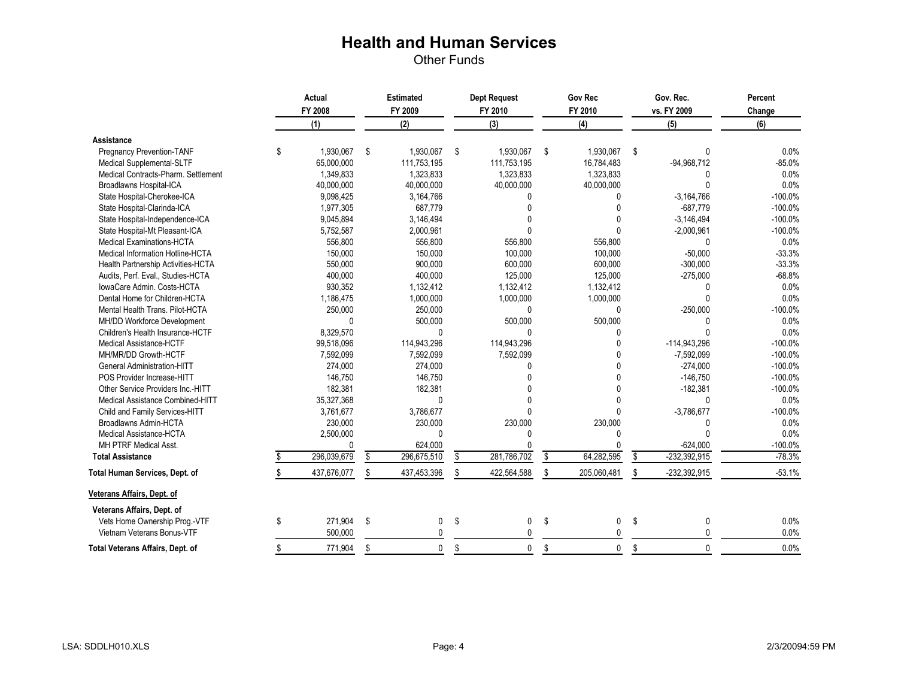|                                     | Actual |             | <b>Estimated</b> |              |    | <b>Dept Request</b> | <b>Gov Rec</b> |              |    | Gov. Rec.      | Percent   |
|-------------------------------------|--------|-------------|------------------|--------------|----|---------------------|----------------|--------------|----|----------------|-----------|
|                                     |        | FY 2008     |                  | FY 2009      |    | FY 2010             | FY 2010        |              |    | vs. FY 2009    | Change    |
|                                     |        | (1)         |                  | (2)          |    | (3)                 |                | (4)          |    | (5)            | (6)       |
| Assistance                          |        |             |                  |              |    |                     |                |              |    |                |           |
| <b>Pregnancy Prevention-TANF</b>    | \$     | 1.930.067   | -\$              | 1.930.067    | \$ | 1.930.067           | \$             | 1.930.067    | \$ | U              | 0.0%      |
| Medical Supplemental-SLTF           |        | 65,000,000  |                  | 111,753,195  |    | 111,753,195         |                | 16,784,483   |    | $-94,968,712$  | $-85.0%$  |
| Medical Contracts-Pharm. Settlement |        | 1,349,833   |                  | 1,323,833    |    | 1,323,833           |                | 1,323,833    |    | U              | 0.0%      |
| Broadlawns Hospital-ICA             |        | 40,000,000  |                  | 40,000,000   |    | 40,000,000          |                | 40,000,000   |    | U              | 0.0%      |
| State Hospital-Cherokee-ICA         |        | 9,098,425   |                  | 3,164,766    |    | U                   |                | $\Omega$     |    | $-3,164,766$   | $-100.0%$ |
| State Hospital-Clarinda-ICA         |        | 1,977,305   |                  | 687,779      |    | $\Omega$            |                |              |    | $-687.779$     | $-100.0%$ |
| State Hospital-Independence-ICA     |        | 9,045,894   |                  | 3,146,494    |    | $\Omega$            |                |              |    | $-3,146,494$   | $-100.0%$ |
| State Hospital-Mt Pleasant-ICA      |        | 5,752,587   |                  | 2,000,961    |    | U                   |                |              |    | $-2,000,961$   | $-100.0%$ |
| <b>Medical Examinations-HCTA</b>    |        | 556,800     |                  | 556,800      |    | 556,800             |                | 556,800      |    | U              | 0.0%      |
| Medical Information Hotline-HCTA    |        | 150,000     |                  | 150,000      |    | 100,000             |                | 100,000      |    | $-50.000$      | $-33.3%$  |
| Health Partnership Activities-HCTA  |        | 550,000     |                  | 900,000      |    | 600,000             |                | 600,000      |    | $-300,000$     | $-33.3%$  |
| Audits, Perf. Eval., Studies-HCTA   |        | 400,000     |                  | 400,000      |    | 125,000             |                | 125,000      |    | $-275,000$     | $-68.8%$  |
| IowaCare Admin, Costs-HCTA          |        | 930,352     |                  | 1,132,412    |    | 1,132,412           |                | 1,132,412    |    |                | 0.0%      |
| Dental Home for Children-HCTA       |        | 1,186,475   |                  | 1,000,000    |    | 1,000,000           |                | 1,000,000    |    | U              | 0.0%      |
| Mental Health Trans, Pilot-HCTA     |        | 250,000     |                  | 250,000      |    | 0                   |                | $\Omega$     |    | $-250,000$     | $-100.0%$ |
| MH/DD Workforce Development         |        | $\Omega$    |                  | 500,000      |    | 500,000             |                | 500,000      |    | N              | 0.0%      |
| Children's Health Insurance-HCTF    |        | 8,329,570   |                  | $\mathbf{0}$ |    | $\Omega$            |                | ∩            |    | U              | 0.0%      |
| <b>Medical Assistance-HCTF</b>      |        | 99,518,096  |                  | 114,943,296  |    | 114,943,296         |                | $\Omega$     |    | $-114,943,296$ | $-100.0%$ |
| MH/MR/DD Growth-HCTF                |        | 7,592,099   |                  | 7,592,099    |    | 7,592,099           |                |              |    | $-7,592,099$   | $-100.0%$ |
| <b>General Administration-HITT</b>  |        | 274,000     |                  | 274,000      |    | U                   |                | $\Omega$     |    | $-274,000$     | $-100.0%$ |
| POS Provider Increase-HITT          |        | 146,750     |                  | 146,750      |    |                     |                | $\Omega$     |    | $-146,750$     | $-100.0%$ |
| Other Service Providers Inc.-HITT   |        | 182,381     |                  | 182,381      |    |                     |                | $\Omega$     |    | $-182,381$     | $-100.0%$ |
| Medical Assistance Combined-HITT    |        | 35,327,368  |                  | $\mathbf{0}$ |    |                     |                |              |    | 0              | 0.0%      |
| Child and Family Services-HITT      |        | 3,761,677   |                  | 3,786,677    |    | $\Omega$            |                |              |    | $-3,786,677$   | $-100.0%$ |
| Broadlawns Admin-HCTA               |        | 230,000     |                  | 230,000      |    | 230,000             |                | 230,000      |    | በ              | 0.0%      |
| Medical Assistance-HCTA             |        | 2,500,000   |                  | 0            |    | 0                   |                | <sup>0</sup> |    | U              | 0.0%      |
| MH PTRF Medical Asst.               |        |             |                  | 624,000      |    | 0                   |                | $\Omega$     |    | $-624,000$     | $-100.0%$ |
| <b>Total Assistance</b>             |        | 296,039,679 | \$               | 296,675,510  | \$ | 281,786,702         | \$             | 64,282,595   | \$ | $-232,392,915$ | $-78.3%$  |
| Total Human Services, Dept. of      |        | 437,676,077 | \$               | 437,453,396  | \$ | 422,564,588         | \$             | 205,060,481  | \$ | -232,392,915   | $-53.1%$  |
| Veterans Affairs, Dept. of          |        |             |                  |              |    |                     |                |              |    |                |           |
| Veterans Affairs, Dept. of          |        |             |                  |              |    |                     |                |              |    |                |           |
| Vets Home Ownership Prog.-VTF       | \$     | 271,904     | \$               | 0            | \$ | 0                   | \$             | $\mathbf{0}$ | \$ | 0              | 0.0%      |
| Vietnam Veterans Bonus-VTF          |        | 500,000     |                  | $\Omega$     |    | 0                   |                | $\Omega$     |    | U              | 0.0%      |
| Total Veterans Affairs, Dept. of    | \$     | 771,904     | \$               | $\mathbf 0$  | \$ | $\mathbf 0$         | \$             | $\mathbf{0}$ | \$ | $\Omega$       | 0.0%      |